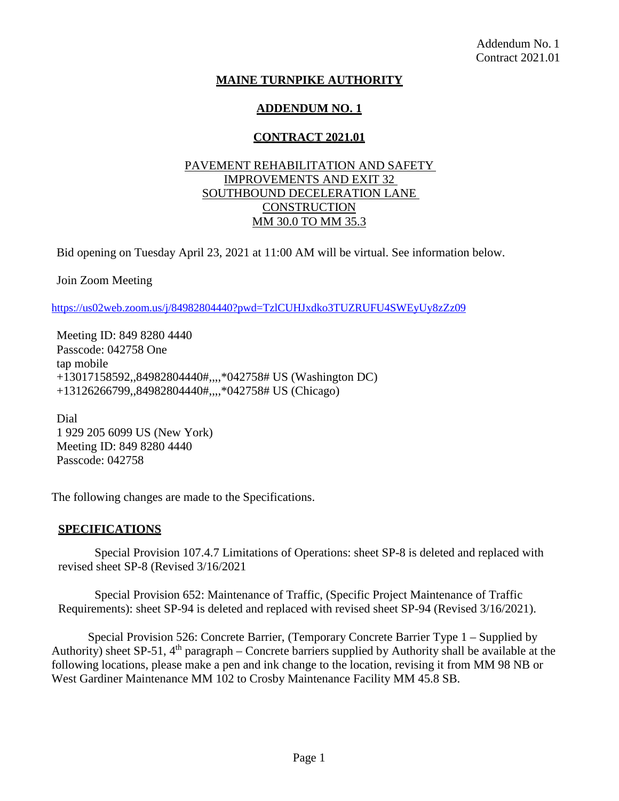# **MAINE TURNPIKE AUTHORITY**

# **ADDENDUM NO. 1**

# **CONTRACT 2021.01**

### PAVEMENT REHABILITATION AND SAFETY IMPROVEMENTS AND EXIT 32 SOUTHBOUND DECELERATION LANE **CONSTRUCTION** MM 30.0 TO MM 35.3

Bid opening on Tuesday April 23, 2021 at 11:00 AM will be virtual. See information below.

Join Zoom Meeting

<https://us02web.zoom.us/j/84982804440?pwd=TzlCUHJxdko3TUZRUFU4SWEyUy8zZz09>

Meeting ID: 849 8280 4440 Passcode: 042758 One tap mobile +13017158592,,84982804440#,,,,\*042758# US (Washington DC) +13126266799,,84982804440#,,,,\*042758# US (Chicago)

Dial 1 929 205 6099 US (New York) Meeting ID: 849 8280 4440 Passcode: 042758

The following changes are made to the Specifications.

#### **SPECIFICATIONS**

Special Provision 107.4.7 Limitations of Operations: sheet SP-8 is deleted and replaced with revised sheet SP-8 (Revised 3/16/2021

Special Provision 652: Maintenance of Traffic, (Specific Project Maintenance of Traffic Requirements): sheet SP-94 is deleted and replaced with revised sheet SP-94 (Revised 3/16/2021).

Special Provision 526: Concrete Barrier, (Temporary Concrete Barrier Type 1 – Supplied by Authority) sheet SP-51,  $4<sup>th</sup>$  paragraph – Concrete barriers supplied by Authority shall be available at the following locations, please make a pen and ink change to the location, revising it from MM 98 NB or West Gardiner Maintenance MM 102 to Crosby Maintenance Facility MM 45.8 SB.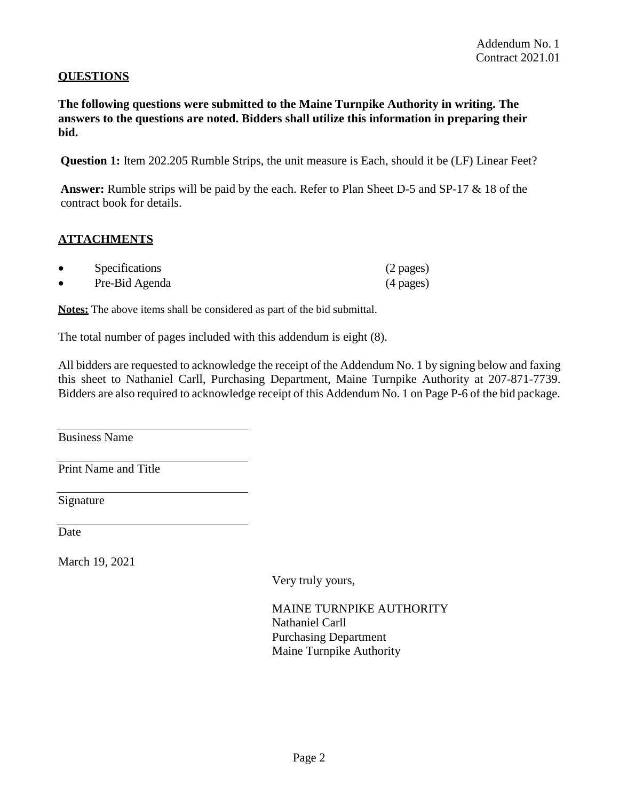### **QUESTIONS**

**The following questions were submitted to the Maine Turnpike Authority in writing. The answers to the questions are noted. Bidders shall utilize this information in preparing their bid.**

**Question 1:** Item 202.205 Rumble Strips, the unit measure is Each, should it be (LF) Linear Feet?

**Answer:** Rumble strips will be paid by the each. Refer to Plan Sheet D-5 and SP-17 & 18 of the contract book for details.

#### **ATTACHMENTS**

| Specifications | $(2 \text{ pages})$ |
|----------------|---------------------|
| Pre-Bid Agenda | $(4 \text{ pages})$ |

**Notes:** The above items shall be considered as part of the bid submittal.

The total number of pages included with this addendum is eight (8).

All bidders are requested to acknowledge the receipt of the Addendum No. 1 by signing below and faxing this sheet to Nathaniel Carll, Purchasing Department, Maine Turnpike Authority at 207-871-7739. Bidders are also required to acknowledge receipt of this Addendum No. 1 on Page P-6 of the bid package.

Business Name

Print Name and Title

Signature

Date

March 19, 2021

Very truly yours,

MAINE TURNPIKE AUTHORITY Nathaniel Carll Purchasing Department Maine Turnpike Authority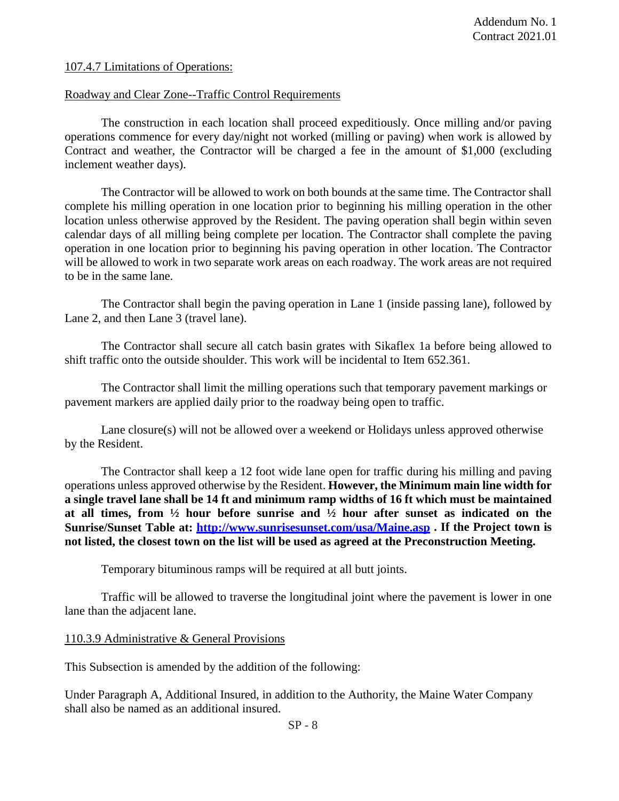107.4.7 Limitations of Operations:

#### Roadway and Clear Zone--Traffic Control Requirements

The construction in each location shall proceed expeditiously. Once milling and/or paving operations commence for every day/night not worked (milling or paving) when work is allowed by Contract and weather, the Contractor will be charged a fee in the amount of \$1,000 (excluding inclement weather days).

The Contractor will be allowed to work on both bounds at the same time. The Contractor shall complete his milling operation in one location prior to beginning his milling operation in the other location unless otherwise approved by the Resident. The paving operation shall begin within seven calendar days of all milling being complete per location. The Contractor shall complete the paving operation in one location prior to beginning his paving operation in other location. The Contractor will be allowed to work in two separate work areas on each roadway. The work areas are not required to be in the same lane.

The Contractor shall begin the paving operation in Lane 1 (inside passing lane), followed by Lane 2, and then Lane 3 (travel lane).

The Contractor shall secure all catch basin grates with Sikaflex 1a before being allowed to shift traffic onto the outside shoulder. This work will be incidental to Item 652.361.

The Contractor shall limit the milling operations such that temporary pavement markings or pavement markers are applied daily prior to the roadway being open to traffic.

Lane closure(s) will not be allowed over a weekend or Holidays unless approved otherwise by the Resident.

The Contractor shall keep a 12 foot wide lane open for traffic during his milling and paving operations unless approved otherwise by the Resident. **However, the Minimum main line width for a single travel lane shall be 14 ft and minimum ramp widths of 16 ft which must be maintained at all times, from ½ hour before sunrise and ½ hour after sunset as indicated on the Sunrise/Sunset Table at:<http://www.sunrisesunset.com/usa/Maine.asp> . If the Project town is not listed, the closest town on the list will be used as agreed at the Preconstruction Meeting.**

Temporary bituminous ramps will be required at all butt joints.

Traffic will be allowed to traverse the longitudinal joint where the pavement is lower in one lane than the adjacent lane.

#### 110.3.9 Administrative & General Provisions

This Subsection is amended by the addition of the following:

Under Paragraph A, Additional Insured, in addition to the Authority, the Maine Water Company shall also be named as an additional insured.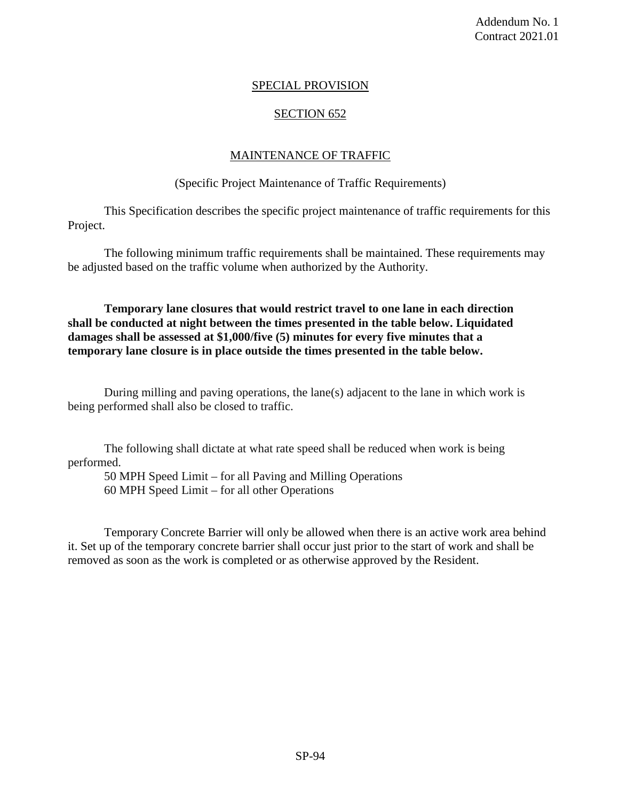# SPECIAL PROVISION

# SECTION 652

#### MAINTENANCE OF TRAFFIC

#### (Specific Project Maintenance of Traffic Requirements)

This Specification describes the specific project maintenance of traffic requirements for this Project.

The following minimum traffic requirements shall be maintained. These requirements may be adjusted based on the traffic volume when authorized by the Authority.

**Temporary lane closures that would restrict travel to one lane in each direction shall be conducted at night between the times presented in the table below. Liquidated damages shall be assessed at \$1,000/five (5) minutes for every five minutes that a temporary lane closure is in place outside the times presented in the table below.**

During milling and paving operations, the lane(s) adjacent to the lane in which work is being performed shall also be closed to traffic.

The following shall dictate at what rate speed shall be reduced when work is being performed.

50 MPH Speed Limit – for all Paving and Milling Operations 60 MPH Speed Limit – for all other Operations

Temporary Concrete Barrier will only be allowed when there is an active work area behind it. Set up of the temporary concrete barrier shall occur just prior to the start of work and shall be removed as soon as the work is completed or as otherwise approved by the Resident.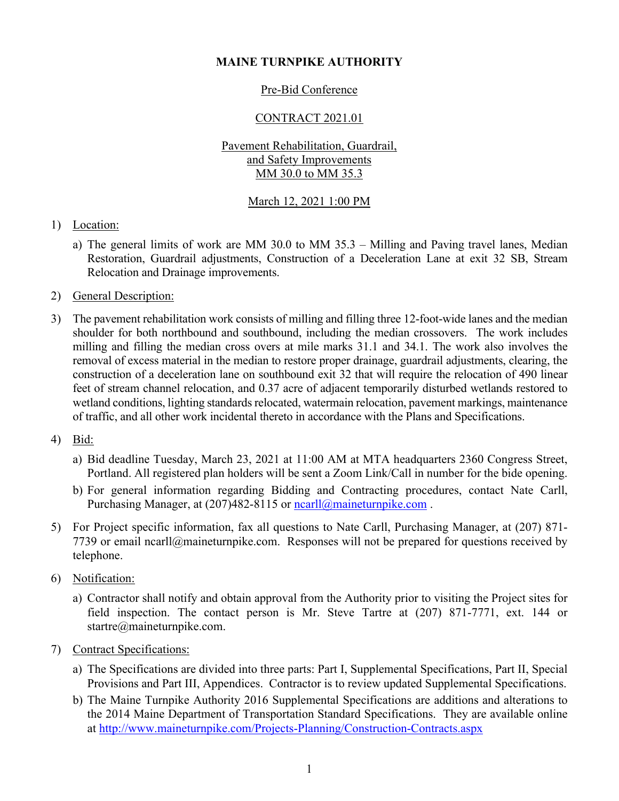# **MAINE TURNPIKE AUTHORITY**

# Pre-Bid Conference

# CONTRACT 2021.01

### Pavement Rehabilitation, Guardrail, and Safety Improvements MM 30.0 to MM 35.3

# March 12, 2021 1:00 PM

# 1) Location:

- a) The general limits of work are MM 30.0 to MM 35.3 Milling and Paving travel lanes, Median Restoration, Guardrail adjustments, Construction of a Deceleration Lane at exit 32 SB, Stream Relocation and Drainage improvements.
- 2) General Description:
- 3) The pavement rehabilitation work consists of milling and filling three 12-foot-wide lanes and the median shoulder for both northbound and southbound, including the median crossovers. The work includes milling and filling the median cross overs at mile marks 31.1 and 34.1. The work also involves the removal of excess material in the median to restore proper drainage, guardrail adjustments, clearing, the construction of a deceleration lane on southbound exit 32 that will require the relocation of 490 linear feet of stream channel relocation, and 0.37 acre of adjacent temporarily disturbed wetlands restored to wetland conditions, lighting standards relocated, watermain relocation, pavement markings, maintenance of traffic, and all other work incidental thereto in accordance with the Plans and Specifications.
- 4) Bid:
	- a) Bid deadline Tuesday, March 23, 2021 at 11:00 AM at MTA headquarters 2360 Congress Street, Portland. All registered plan holders will be sent a Zoom Link/Call in number for the bide opening.
	- b) For general information regarding Bidding and Contracting procedures, contact Nate Carll, Purchasing Manager, at (207)482-8115 or ncarll@maineturnpike.com.
- 5) For Project specific information, fax all questions to Nate Carll, Purchasing Manager, at (207) 871- 7739 or email ncarll@maineturnpike.com. Responses will not be prepared for questions received by telephone.
- 6) Notification:
	- a) Contractor shall notify and obtain approval from the Authority prior to visiting the Project sites for field inspection. The contact person is Mr. Steve Tartre at (207) 871-7771, ext. 144 or startre@maineturnpike.com.
- 7) Contract Specifications:
	- a) The Specifications are divided into three parts: Part I, Supplemental Specifications, Part II, Special Provisions and Part III, Appendices. Contractor is to review updated Supplemental Specifications.
	- b) The Maine Turnpike Authority 2016 Supplemental Specifications are additions and alterations to the 2014 Maine Department of Transportation Standard Specifications. They are available online at http://www.maineturnpike.com/Projects-Planning/Construction-Contracts.aspx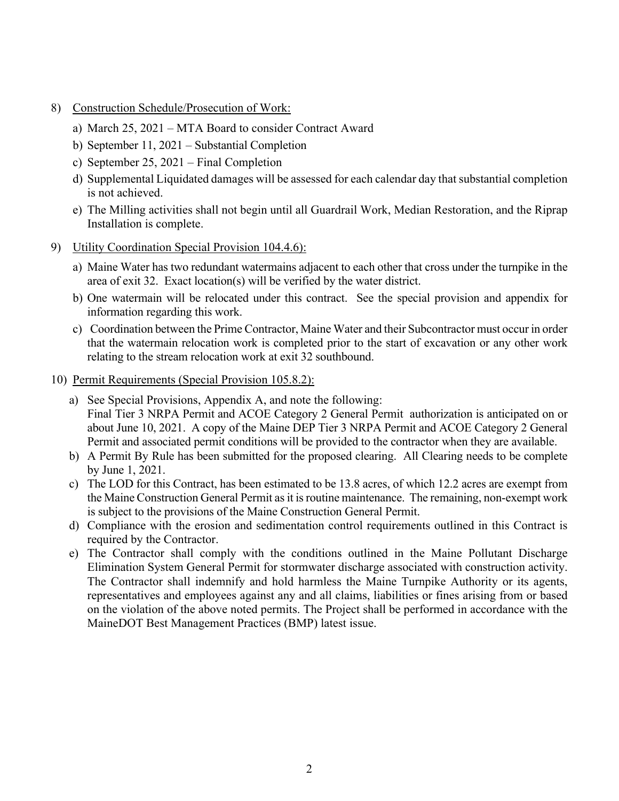- 8) Construction Schedule/Prosecution of Work:
	- a) March 25, 2021 MTA Board to consider Contract Award
	- b) September 11, 2021 Substantial Completion
	- c) September 25, 2021 Final Completion
	- d) Supplemental Liquidated damages will be assessed for each calendar day that substantial completion is not achieved.
	- e) The Milling activities shall not begin until all Guardrail Work, Median Restoration, and the Riprap Installation is complete.
- 9) Utility Coordination Special Provision 104.4.6):
	- a) Maine Water has two redundant watermains adjacent to each other that cross under the turnpike in the area of exit 32. Exact location(s) will be verified by the water district.
	- b) One watermain will be relocated under this contract. See the special provision and appendix for information regarding this work.
	- c) Coordination between the Prime Contractor, Maine Water and their Subcontractor must occur in order that the watermain relocation work is completed prior to the start of excavation or any other work relating to the stream relocation work at exit 32 southbound.
- 10) Permit Requirements (Special Provision 105.8.2):
	- a) See Special Provisions, Appendix A, and note the following: Final Tier 3 NRPA Permit and ACOE Category 2 General Permit authorization is anticipated on or about June 10, 2021. A copy of the Maine DEP Tier 3 NRPA Permit and ACOE Category 2 General Permit and associated permit conditions will be provided to the contractor when they are available.
	- b) A Permit By Rule has been submitted for the proposed clearing. All Clearing needs to be complete by June 1, 2021.
	- c) The LOD for this Contract, has been estimated to be 13.8 acres, of which 12.2 acres are exempt from the Maine Construction General Permit as it is routine maintenance. The remaining, non-exempt work is subject to the provisions of the Maine Construction General Permit.
	- d) Compliance with the erosion and sedimentation control requirements outlined in this Contract is required by the Contractor.
	- e) The Contractor shall comply with the conditions outlined in the Maine Pollutant Discharge Elimination System General Permit for stormwater discharge associated with construction activity. The Contractor shall indemnify and hold harmless the Maine Turnpike Authority or its agents, representatives and employees against any and all claims, liabilities or fines arising from or based on the violation of the above noted permits. The Project shall be performed in accordance with the MaineDOT Best Management Practices (BMP) latest issue.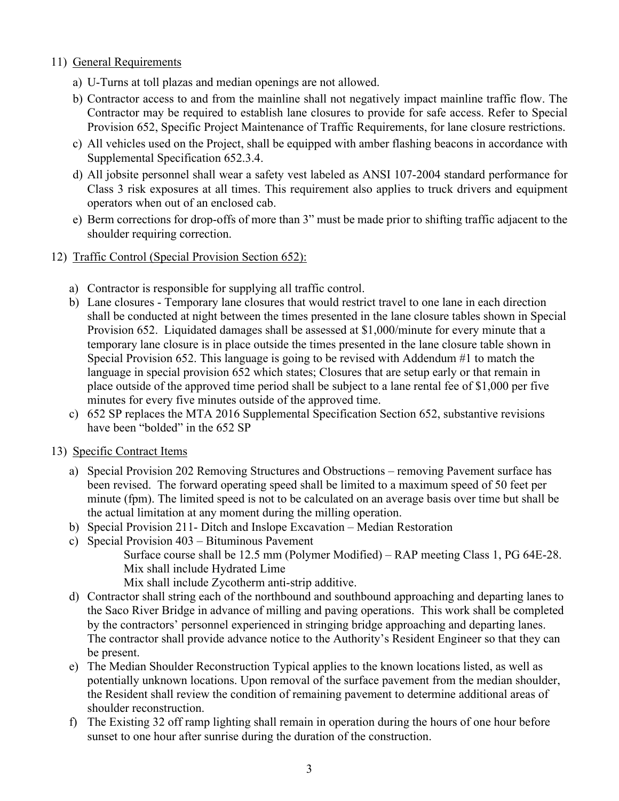## 11) General Requirements

- a) U-Turns at toll plazas and median openings are not allowed.
- b) Contractor access to and from the mainline shall not negatively impact mainline traffic flow. The Contractor may be required to establish lane closures to provide for safe access. Refer to Special Provision 652, Specific Project Maintenance of Traffic Requirements, for lane closure restrictions.
- c) All vehicles used on the Project, shall be equipped with amber flashing beacons in accordance with Supplemental Specification 652.3.4.
- d) All jobsite personnel shall wear a safety vest labeled as ANSI 107-2004 standard performance for Class 3 risk exposures at all times. This requirement also applies to truck drivers and equipment operators when out of an enclosed cab.
- e) Berm corrections for drop-offs of more than 3" must be made prior to shifting traffic adjacent to the shoulder requiring correction.
- 12) Traffic Control (Special Provision Section 652):
	- a) Contractor is responsible for supplying all traffic control.
	- b) Lane closures Temporary lane closures that would restrict travel to one lane in each direction shall be conducted at night between the times presented in the lane closure tables shown in Special Provision 652. Liquidated damages shall be assessed at \$1,000/minute for every minute that a temporary lane closure is in place outside the times presented in the lane closure table shown in Special Provision 652. This language is going to be revised with Addendum #1 to match the language in special provision 652 which states; Closures that are setup early or that remain in place outside of the approved time period shall be subject to a lane rental fee of \$1,000 per five minutes for every five minutes outside of the approved time.
	- c) 652 SP replaces the MTA 2016 Supplemental Specification Section 652, substantive revisions have been "bolded" in the 652 SP
- 13) Specific Contract Items
	- a) Special Provision 202 Removing Structures and Obstructions removing Pavement surface has been revised. The forward operating speed shall be limited to a maximum speed of 50 feet per minute (fpm). The limited speed is not to be calculated on an average basis over time but shall be the actual limitation at any moment during the milling operation.
	- b) Special Provision 211- Ditch and Inslope Excavation Median Restoration
	- c) Special Provision 403 Bituminous Pavement Surface course shall be 12.5 mm (Polymer Modified) – RAP meeting Class 1, PG 64E-28. Mix shall include Hydrated Lime Mix shall include Zycotherm anti-strip additive.
	- d) Contractor shall string each of the northbound and southbound approaching and departing lanes to the Saco River Bridge in advance of milling and paving operations. This work shall be completed by the contractors' personnel experienced in stringing bridge approaching and departing lanes. The contractor shall provide advance notice to the Authority's Resident Engineer so that they can be present.
	- e) The Median Shoulder Reconstruction Typical applies to the known locations listed, as well as potentially unknown locations. Upon removal of the surface pavement from the median shoulder, the Resident shall review the condition of remaining pavement to determine additional areas of shoulder reconstruction.
	- f) The Existing 32 off ramp lighting shall remain in operation during the hours of one hour before sunset to one hour after sunrise during the duration of the construction.